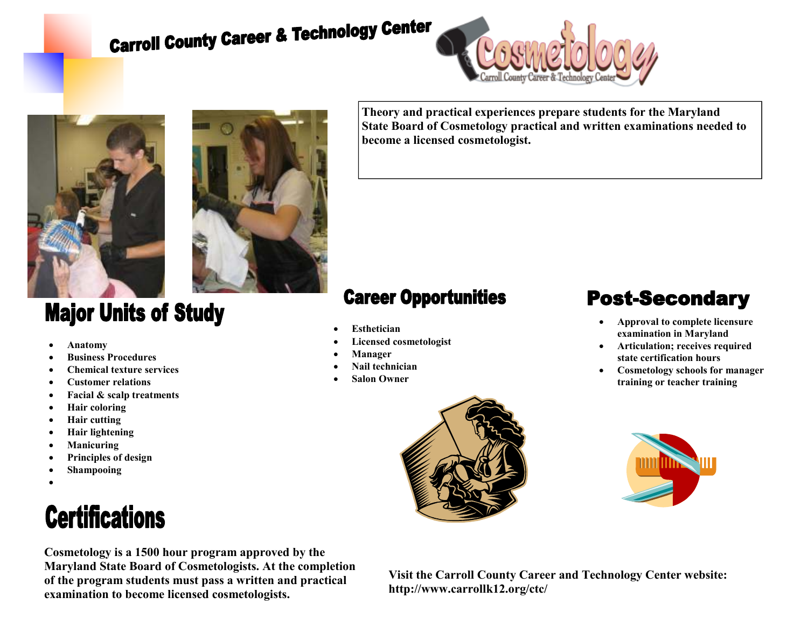# **Carroll County Career & Technology Center**







### **Major Units of Study**

- **Anatomy**
- **Business Procedures**
- **Chemical texture services**
- **Customer relations**
- **Facial & scalp treatments**
- **Hair coloring**
- **Hair cutting**
- **Hair lightening**
- **Manicuring**
- **Principles of design**
- **Shampooing**
- •

## **Certifications**

**Cosmetology is a 1500 hour program approved by the Maryland State Board of Cosmetologists. At the completion of the program students must pass a written and practical examination to become licensed cosmetologists.** 

**Theory and practical experiences prepare students for the Maryland State Board of Cosmetology practical and written examinations needed to become a licensed cosmetologist.** 

### **Career Opportunities**

- **Esthetician**
- **Licensed cosmetologist**
- **Manager**
- **Nail technician**
- **Salon Owner**

## **Post-Secondary**

- **Approval to complete licensure examination in Maryland**
- **Articulation; receives required state certification hours**
- **Cosmetology schools for manager training or teacher training**





**Visit the Carroll County Career and Technology Center website: http://www.carrollk12.org/ctc/**